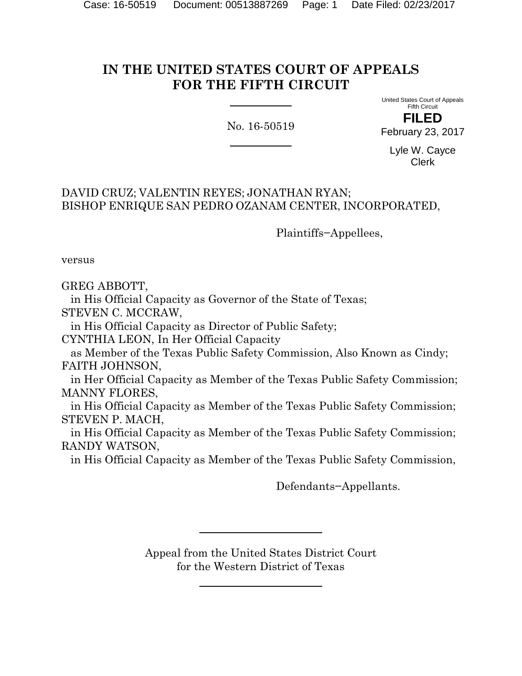# **IN THE UNITED STATES COURT OF APPEALS FOR THE FIFTH CIRCUIT**

No. 16-50519

United States Court of Appeals Fifth Circuit **FILED**

February 23, 2017

Lyle W. Cayce Clerk

# DAVID CRUZ; VALENTIN REYES; JONATHAN RYAN; BISHOP ENRIQUE SAN PEDRO OZANAM CENTER, INCORPORATED,

Plaintiffs−Appellees,

versus

GREG ABBOTT,

 in His Official Capacity as Governor of the State of Texas; STEVEN C. MCCRAW,

in His Official Capacity as Director of Public Safety;

CYNTHIA LEON, In Her Official Capacity

 as Member of the Texas Public Safety Commission, Also Known as Cindy; FAITH JOHNSON,

 in Her Official Capacity as Member of the Texas Public Safety Commission; MANNY FLORES,

 in His Official Capacity as Member of the Texas Public Safety Commission; STEVEN P. MACH,

 in His Official Capacity as Member of the Texas Public Safety Commission; RANDY WATSON,

in His Official Capacity as Member of the Texas Public Safety Commission,

Defendants−Appellants.

Appeal from the United States District Court for the Western District of Texas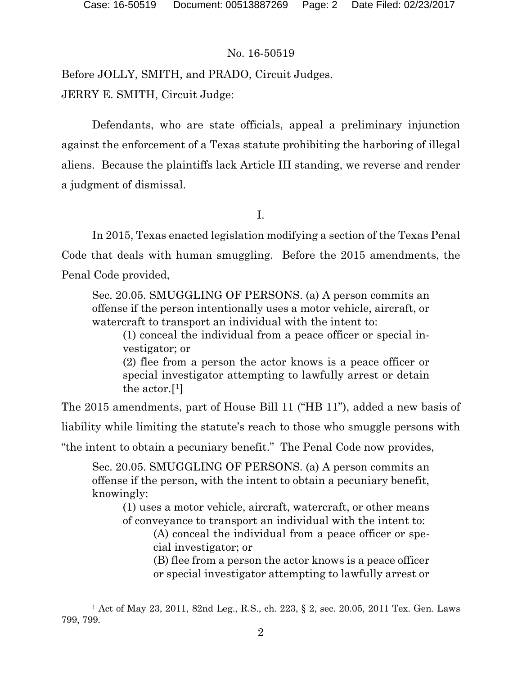# No. 16-50519

Before JOLLY, SMITH, and PRADO, Circuit Judges. JERRY E. SMITH, Circuit Judge:

Defendants, who are state officials, appeal a preliminary injunction against the enforcement of a Texas statute prohibiting the harboring of illegal aliens. Because the plaintiffs lack Article III standing, we reverse and render a judgment of dismissal.

I.

In 2015, Texas enacted legislation modifying a section of the Texas Penal Code that deals with human smuggling. Before the 2015 amendments, the Penal Code provided,

Sec. 20.05. SMUGGLING OF PERSONS. (a) A person commits an offense if the person intentionally uses a motor vehicle, aircraft, or watercraft to transport an individual with the intent to:

(1) conceal the individual from a peace officer or special investigator; or

(2) flee from a person the actor knows is a peace officer or special investigator attempting to lawfully arrest or detain the actor.[[1\]](#page-1-0)

The 2015 amendments, part of House Bill 11 ("HB 11"), added a new basis of

liability while limiting the statute's reach to those who smuggle persons with

"the intent to obtain a pecuniary benefit." The Penal Code now provides,

Sec. 20.05. SMUGGLING OF PERSONS. (a) A person commits an offense if the person, with the intent to obtain a pecuniary benefit, knowingly:

(1) uses a motor vehicle, aircraft, watercraft, or other means of conveyance to transport an individual with the intent to:

(A) conceal the individual from a peace officer or special investigator; or

(B) flee from a person the actor knows is a peace officer or special investigator attempting to lawfully arrest or

<span id="page-1-0"></span><sup>1</sup> Act of May 23, 2011, 82nd Leg., R.S., ch. 223, § 2, sec. 20.05, 2011 Tex. Gen. Laws 799, 799.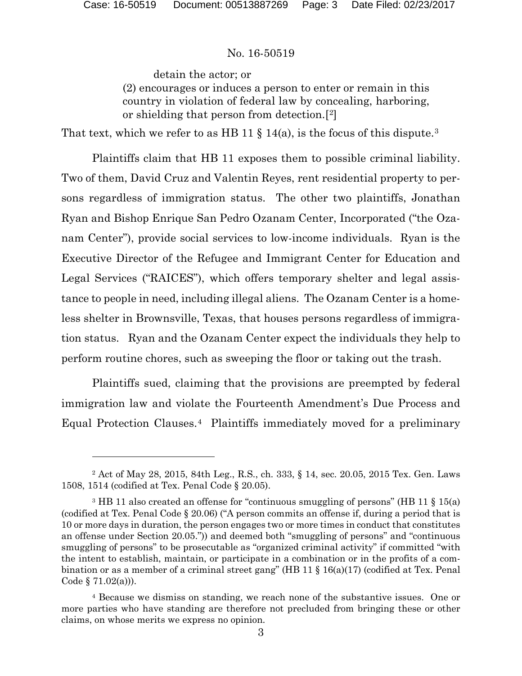#### No. 16-50519

detain the actor; or (2) encourages or induces a person to enter or remain in this country in violation of federal law by concealing, harboring, or shielding that person from detection.[[2](#page-2-0)]

That text, which we refer to as HB 11  $\S$  14(a), is the focus of this dispute.<sup>3</sup>

Plaintiffs claim that HB 11 exposes them to possible criminal liability. Two of them, David Cruz and Valentin Reyes, rent residential property to persons regardless of immigration status. The other two plaintiffs, Jonathan Ryan and Bishop Enrique San Pedro Ozanam Center, Incorporated ("the Ozanam Center"), provide social services to low-income individuals. Ryan is the Executive Director of the Refugee and Immigrant Center for Education and Legal Services ("RAICES"), which offers temporary shelter and legal assistance to people in need, including illegal aliens. The Ozanam Center is a homeless shelter in Brownsville, Texas, that houses persons regardless of immigration status. Ryan and the Ozanam Center expect the individuals they help to perform routine chores, such as sweeping the floor or taking out the trash.

Plaintiffs sued, claiming that the provisions are preempted by federal immigration law and violate the Fourteenth Amendment's Due Process and Equal Protection Clauses.[4](#page-2-2) Plaintiffs immediately moved for a preliminary

<span id="page-2-0"></span><sup>2</sup> Act of May 28, 2015, 84th Leg., R.S., ch. 333, § 14, sec. 20.05, 2015 Tex. Gen. Laws 1508, 1514 (codified at Tex. Penal Code § 20.05).

<span id="page-2-1"></span><sup>&</sup>lt;sup>3</sup> HB 11 also created an offense for "continuous smuggling of persons" (HB 11 § 15(a) (codified at Tex. Penal Code § 20.06) ("A person commits an offense if, during a period that is 10 or more days in duration, the person engages two or more times in conduct that constitutes an offense under Section 20.05.")) and deemed both "smuggling of persons" and "continuous smuggling of persons" to be prosecutable as "organized criminal activity" if committed "with the intent to establish, maintain, or participate in a combination or in the profits of a combination or as a member of a criminal street gang" (HB 11  $\S$  16(a)(17) (codified at Tex. Penal Code  $\S 71.02(a)$ ).

<span id="page-2-2"></span><sup>4</sup> Because we dismiss on standing, we reach none of the substantive issues. One or more parties who have standing are therefore not precluded from bringing these or other claims, on whose merits we express no opinion.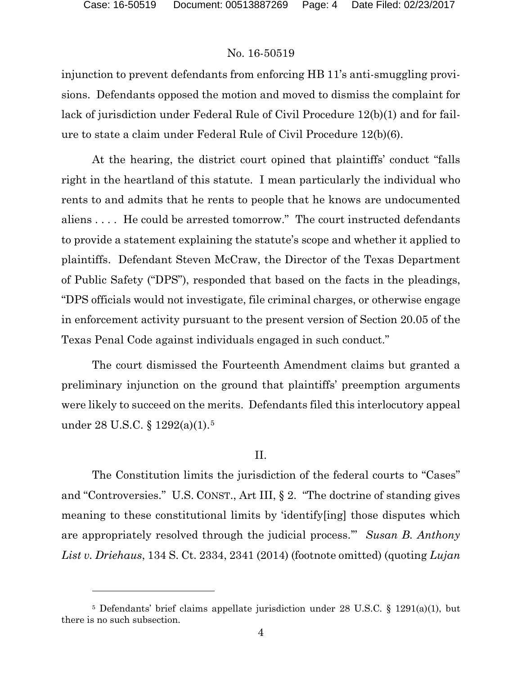## No. 16-50519

injunction to prevent defendants from enforcing HB 11's anti-smuggling provisions. Defendants opposed the motion and moved to dismiss the complaint for lack of jurisdiction under Federal Rule of Civil Procedure 12(b)(1) and for failure to state a claim under Federal Rule of Civil Procedure 12(b)(6).

At the hearing, the district court opined that plaintiffs' conduct "falls right in the heartland of this statute. I mean particularly the individual who rents to and admits that he rents to people that he knows are undocumented aliens . . . . He could be arrested tomorrow." The court instructed defendants to provide a statement explaining the statute's scope and whether it applied to plaintiffs. Defendant Steven McCraw, the Director of the Texas Department of Public Safety ("DPS"), responded that based on the facts in the pleadings, "DPS officials would not investigate, file criminal charges, or otherwise engage in enforcement activity pursuant to the present version of Section 20.05 of the Texas Penal Code against individuals engaged in such conduct."

The court dismissed the Fourteenth Amendment claims but granted a preliminary injunction on the ground that plaintiffs' preemption arguments were likely to succeed on the merits. Defendants filed this interlocutory appeal under 28 U.S.C. § 1292(a)(1).[5](#page-3-0)

# II.

The Constitution limits the jurisdiction of the federal courts to "Cases" and "Controversies." U.S. CONST., Art III, § 2. "The doctrine of standing gives meaning to these constitutional limits by 'identify[ing] those disputes which are appropriately resolved through the judicial process.'" *Susan B. Anthony List v. Driehaus*, 134 S. Ct. 2334, 2341 (2014) (footnote omitted) (quoting *Lujan* 

<span id="page-3-0"></span><sup>5</sup> Defendants' brief claims appellate jurisdiction under 28 U.S.C. § 1291(a)(1), but there is no such subsection.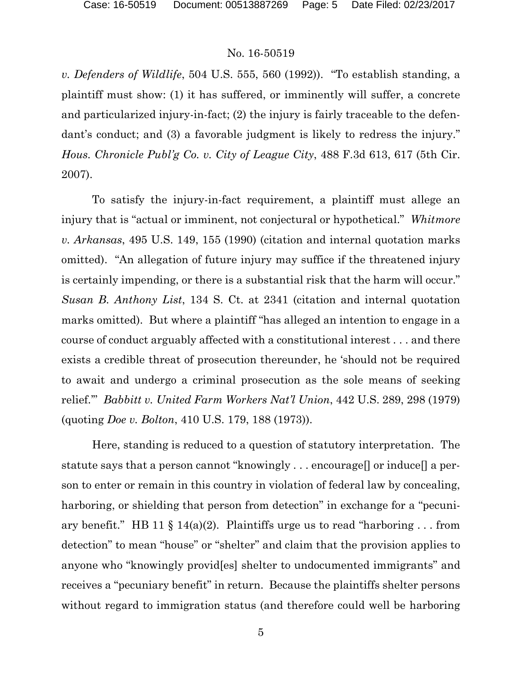### No. 16-50519

*v. Defenders of Wildlife*, 504 U.S. 555, 560 (1992)). "To establish standing, a plaintiff must show: (1) it has suffered, or imminently will suffer, a concrete and particularized injury-in-fact; (2) the injury is fairly traceable to the defendant's conduct; and (3) a favorable judgment is likely to redress the injury." *Hous. Chronicle Publ'g Co. v. City of League City*, 488 F.3d 613, 617 (5th Cir. 2007).

To satisfy the injury-in-fact requirement, a plaintiff must allege an injury that is "actual or imminent, not conjectural or hypothetical." *Whitmore v. Arkansas*, 495 U.S. 149, 155 (1990) (citation and internal quotation marks omitted). "An allegation of future injury may suffice if the threatened injury is certainly impending, or there is a substantial risk that the harm will occur." *Susan B. Anthony List*, 134 S. Ct. at 2341 (citation and internal quotation marks omitted). But where a plaintiff "has alleged an intention to engage in a course of conduct arguably affected with a constitutional interest . . . and there exists a credible threat of prosecution thereunder, he 'should not be required to await and undergo a criminal prosecution as the sole means of seeking relief.'" *Babbitt v. United Farm Workers Nat'l Union*, 442 U.S. 289, 298 (1979) (quoting *Doe v. Bolton*, 410 U.S. 179, 188 (1973)).

Here, standing is reduced to a question of statutory interpretation. The statute says that a person cannot "knowingly . . . encourage[] or induce[] a person to enter or remain in this country in violation of federal law by concealing, harboring, or shielding that person from detection" in exchange for a "pecuniary benefit." HB 11 § 14(a)(2). Plaintiffs urge us to read "harboring ... from detection" to mean "house" or "shelter" and claim that the provision applies to anyone who "knowingly provid[es] shelter to undocumented immigrants" and receives a "pecuniary benefit" in return. Because the plaintiffs shelter persons without regard to immigration status (and therefore could well be harboring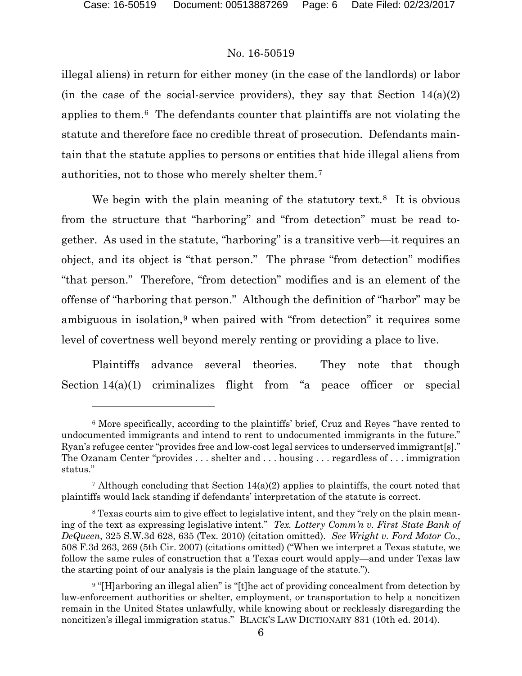# No. 16-50519

illegal aliens) in return for either money (in the case of the landlords) or labor (in the case of the social-service providers), they say that Section  $14(a)(2)$ applies to them.[6](#page-5-0) The defendants counter that plaintiffs are not violating the statute and therefore face no credible threat of prosecution. Defendants maintain that the statute applies to persons or entities that hide illegal aliens from authorities, not to those who merely shelter them.[7](#page-5-1)

We begin with the plain meaning of the statutory text.<sup>8</sup> It is obvious from the structure that "harboring" and "from detection" must be read together. As used in the statute, "harboring" is a transitive verb—it requires an object, and its object is "that person." The phrase "from detection" modifies "that person." Therefore, "from detection" modifies and is an element of the offense of "harboring that person." Although the definition of "harbor" may be ambiguous in isolation,<sup>[9](#page-5-3)</sup> when paired with "from detection" it requires some level of covertness well beyond merely renting or providing a place to live.

Plaintiffs advance several theories. They note that though Section 14(a)(1) criminalizes flight from "a peace officer or special

<span id="page-5-0"></span><sup>6</sup> More specifically, according to the plaintiffs' brief, Cruz and Reyes "have rented to undocumented immigrants and intend to rent to undocumented immigrants in the future." Ryan's refugee center "provides free and low-cost legal services to underserved immigrant[s]." The Ozanam Center "provides . . . shelter and . . . housing . . . regardless of . . . immigration status."

<span id="page-5-1"></span><sup>&</sup>lt;sup>7</sup> Although concluding that Section  $14(a)(2)$  applies to plaintiffs, the court noted that plaintiffs would lack standing if defendants' interpretation of the statute is correct.

<span id="page-5-2"></span><sup>8</sup> Texas courts aim to give effect to legislative intent, and they "rely on the plain meaning of the text as expressing legislative intent." *Tex. Lottery Comm'n v. First State Bank of DeQueen*, 325 S.W.3d 628, 635 (Tex. 2010) (citation omitted). *See Wright v. Ford Motor Co.*, 508 F.3d 263, 269 (5th Cir. 2007) (citations omitted) ("When we interpret a Texas statute, we follow the same rules of construction that a Texas court would apply—and under Texas law the starting point of our analysis is the plain language of the statute.").

<span id="page-5-3"></span><sup>&</sup>lt;sup>9</sup> "[H]arboring an illegal alien" is "[t]he act of providing concealment from detection by law-enforcement authorities or shelter, employment, or transportation to help a noncitizen remain in the United States unlawfully, while knowing about or recklessly disregarding the noncitizen's illegal immigration status." BLACK'S LAW DICTIONARY 831 (10th ed. 2014).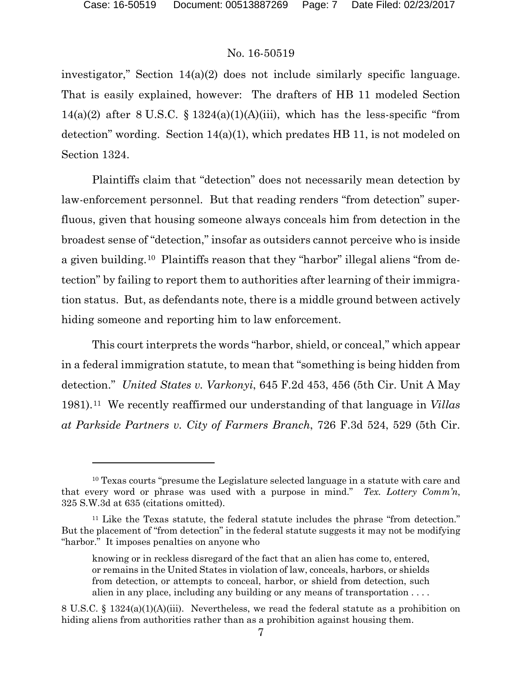$\overline{a}$ 

# No. 16-50519

investigator," Section 14(a)(2) does not include similarly specific language. That is easily explained, however: The drafters of HB 11 modeled Section 14(a)(2) after 8 U.S.C. § 1324(a)(1)(A)(iii), which has the less-specific "from detection" wording. Section  $14(a)(1)$ , which predates HB 11, is not modeled on Section 1324.

Plaintiffs claim that "detection" does not necessarily mean detection by law-enforcement personnel. But that reading renders "from detection" superfluous, given that housing someone always conceals him from detection in the broadest sense of "detection," insofar as outsiders cannot perceive who is inside a given building.[10](#page-6-0) Plaintiffs reason that they "harbor" illegal aliens "from detection" by failing to report them to authorities after learning of their immigration status. But, as defendants note, there is a middle ground between actively hiding someone and reporting him to law enforcement.

This court interprets the words "harbor, shield, or conceal," which appear in a federal immigration statute, to mean that "something is being hidden from detection." *United States v. Varkonyi*, 645 F.2d 453, 456 (5th Cir. Unit A May 1981).[11](#page-6-1) We recently reaffirmed our understanding of that language in *Villas at Parkside Partners v. City of Farmers Branch*, 726 F.3d 524, 529 (5th Cir.

<span id="page-6-0"></span><sup>&</sup>lt;sup>10</sup> Texas courts "presume the Legislature selected language in a statute with care and that every word or phrase was used with a purpose in mind." *Tex. Lottery Comm'n*, 325 S.W.3d at 635 (citations omitted).

<span id="page-6-1"></span><sup>11</sup> Like the Texas statute, the federal statute includes the phrase "from detection." But the placement of "from detection" in the federal statute suggests it may not be modifying "harbor." It imposes penalties on anyone who

knowing or in reckless disregard of the fact that an alien has come to, entered, or remains in the United States in violation of law, conceals, harbors, or shields from detection, or attempts to conceal, harbor, or shield from detection, such alien in any place, including any building or any means of transportation  $\dots$ .

<sup>8</sup> U.S.C. § 1324(a)(1)(A)(iii). Nevertheless, we read the federal statute as a prohibition on hiding aliens from authorities rather than as a prohibition against housing them.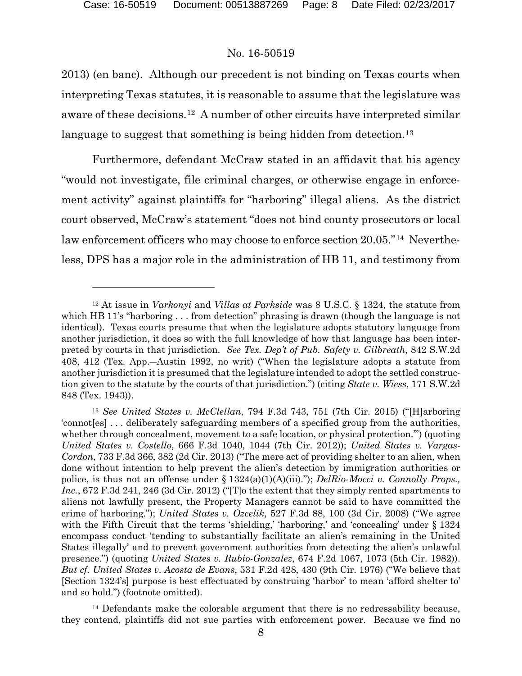$\overline{a}$ 

#### No. 16-50519

2013) (en banc). Although our precedent is not binding on Texas courts when interpreting Texas statutes, it is reasonable to assume that the legislature was aware of these decisions.[12](#page-7-0) A number of other circuits have interpreted similar language to suggest that something is being hidden from detection.<sup>[13](#page-7-1)</sup>

Furthermore, defendant McCraw stated in an affidavit that his agency "would not investigate, file criminal charges, or otherwise engage in enforcement activity" against plaintiffs for "harboring" illegal aliens. As the district court observed, McCraw's statement "does not bind county prosecutors or local law enforcement officers who may choose to enforce section 20.05."[14](#page-7-2) Nevertheless, DPS has a major role in the administration of HB 11, and testimony from

<span id="page-7-2"></span><sup>14</sup> Defendants make the colorable argument that there is no redressability because, they contend, plaintiffs did not sue parties with enforcement power. Because we find no

<span id="page-7-0"></span><sup>12</sup> At issue in *Varkonyi* and *Villas at Parkside* was 8 U.S.C. § 1324, the statute from which HB 11's "harboring . . . from detection" phrasing is drawn (though the language is not identical). Texas courts presume that when the legislature adopts statutory language from another jurisdiction, it does so with the full knowledge of how that language has been interpreted by courts in that jurisdiction. *See Tex. Dep't of Pub. Safety v. Gilbreath*, 842 S.W.2d 408, 412 (Tex. App.―Austin 1992, no writ) ("When the legislature adopts a statute from another jurisdiction it is presumed that the legislature intended to adopt the settled construction given to the statute by the courts of that jurisdiction.") (citing *State v. Wiess*, 171 S.W.2d 848 (Tex. 1943)).

<span id="page-7-1"></span><sup>13</sup> *See United States v. McClellan*, 794 F.3d 743, 751 (7th Cir. 2015) ("[H]arboring 'connot[es] . . . deliberately safeguarding members of a specified group from the authorities, whether through concealment, movement to a safe location, or physical protection.") (quoting *United States v. Costello*, 666 F.3d 1040, 1044 (7th Cir. 2012)); *United States v. Vargas-Cordon*, 733 F.3d 366, 382 (2d Cir. 2013) ("The mere act of providing shelter to an alien, when done without intention to help prevent the alien's detection by immigration authorities or police, is thus not an offense under § 1324(a)(1)(A)(iii)."); *DelRio-Mocci v. Connolly Props., Inc.*, 672 F.3d 241, 246 (3d Cir. 2012) ("[T]o the extent that they simply rented apartments to aliens not lawfully present, the Property Managers cannot be said to have committed the crime of harboring."); *United States v. Ozcelik*, 527 F.3d 88, 100 (3d Cir. 2008) ("We agree with the Fifth Circuit that the terms 'shielding,' 'harboring,' and 'concealing' under § 1324 encompass conduct 'tending to substantially facilitate an alien's remaining in the United States illegally' and to prevent government authorities from detecting the alien's unlawful presence.") (quoting *United States v. Rubio-Gonzalez*, 674 F.2d 1067, 1073 (5th Cir. 1982)). *But cf. United States v. Acosta de Evans*, 531 F.2d 428, 430 (9th Cir. 1976) ("We believe that [Section 1324's] purpose is best effectuated by construing 'harbor' to mean 'afford shelter to' and so hold.") (footnote omitted).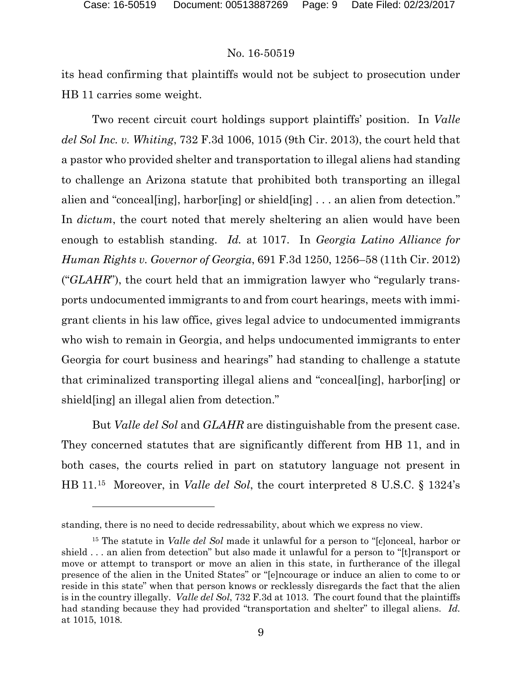#### No. 16-50519

its head confirming that plaintiffs would not be subject to prosecution under HB 11 carries some weight.

Two recent circuit court holdings support plaintiffs' position. In *Valle del Sol Inc. v. Whiting*, 732 F.3d 1006, 1015 (9th Cir. 2013), the court held that a pastor who provided shelter and transportation to illegal aliens had standing to challenge an Arizona statute that prohibited both transporting an illegal alien and "conceal[ing], harbor[ing] or shield[ing] . . . an alien from detection." In *dictum*, the court noted that merely sheltering an alien would have been enough to establish standing. *Id.* at 1017. In *Georgia Latino Alliance for Human Rights v. Governor of Georgia*, 691 F.3d 1250, 1256–58 (11th Cir. 2012) ("*GLAHR*"), the court held that an immigration lawyer who "regularly transports undocumented immigrants to and from court hearings, meets with immigrant clients in his law office, gives legal advice to undocumented immigrants who wish to remain in Georgia, and helps undocumented immigrants to enter Georgia for court business and hearings" had standing to challenge a statute that criminalized transporting illegal aliens and "conceal[ing], harbor[ing] or shield[ing] an illegal alien from detection."

But *Valle del Sol* and *GLAHR* are distinguishable from the present case. They concerned statutes that are significantly different from HB 11, and in both cases, the courts relied in part on statutory language not present in HB 11.[15](#page-8-0) Moreover, in *Valle del Sol*, the court interpreted 8 U.S.C. § 1324's

standing, there is no need to decide redressability, about which we express no view.

<span id="page-8-0"></span><sup>15</sup> The statute in *Valle del Sol* made it unlawful for a person to "[c]onceal, harbor or shield . . . an alien from detection" but also made it unlawful for a person to "[t]ransport or move or attempt to transport or move an alien in this state, in furtherance of the illegal presence of the alien in the United States" or "[e]ncourage or induce an alien to come to or reside in this state" when that person knows or recklessly disregards the fact that the alien is in the country illegally. *Valle del Sol*, 732 F.3d at 1013. The court found that the plaintiffs had standing because they had provided "transportation and shelter" to illegal aliens. *Id.* at 1015, 1018.